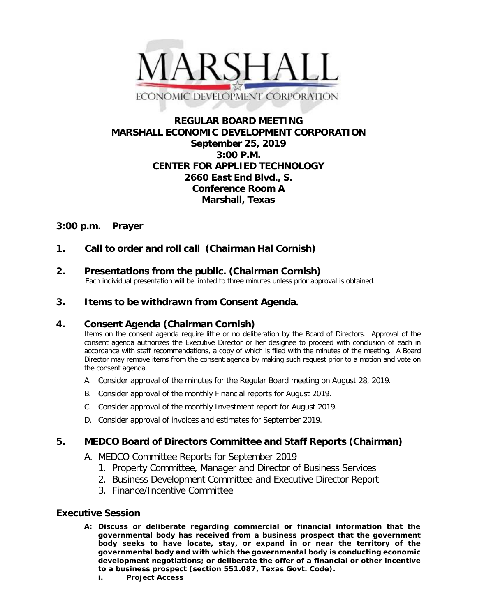

# **REGULAR BOARD MEETING MARSHALL ECONOMIC DEVELOPMENT CORPORATION September 25, 2019 3:00 P.M. CENTER FOR APPLIED TECHNOLOGY 2660 East End Blvd., S. Conference Room A Marshall, Texas**

# **3:00 p.m. Prayer**

# **1. Call to order and roll call (Chairman Hal Cornish)**

# **2. Presentations from the public. (Chairman Cornish)**<br>Each individual presentation will be limited to three minutes unless prior approval is obtained.

## **3. Items to be withdrawn from Consent Agenda.**

### **4. Consent Agenda (Chairman Cornish)**

Items on the consent agenda require little or no deliberation by the Board of Directors. Approval of the consent agenda authorizes the Executive Director or her designee to proceed with conclusion of each in accordance with staff recommendations, a copy of which is filed with the minutes of the meeting. A Board Director may remove items from the consent agenda by making such request prior to a motion and vote on the consent agenda.

- A. Consider approval of the minutes for the Regular Board meeting on August 28, 2019.
- B. Consider approval of the monthly Financial reports for August 2019.
- C. Consider approval of the monthly Investment report for August 2019.
- D. Consider approval of invoices and estimates for September 2019.

## **5. MEDCO Board of Directors Committee and Staff Reports (Chairman)**

- A. MEDCO Committee Reports for September 2019
	- 1. Property Committee, Manager and Director of Business Services
	- 2. Business Development Committee and Executive Director Report
	- 3. Finance/Incentive Committee

### **Executive Session**

- **A: Discuss or deliberate regarding commercial or financial information that the governmental body has received from a business prospect that the government body seeks to have locate, stay, or expand in or near the territory of the governmental body and with which the governmental body is conducting economic development negotiations; or deliberate the offer of a financial or other incentive to a business prospect (section 551.087, Texas Govt. Code).**
	- **i. Project Access**